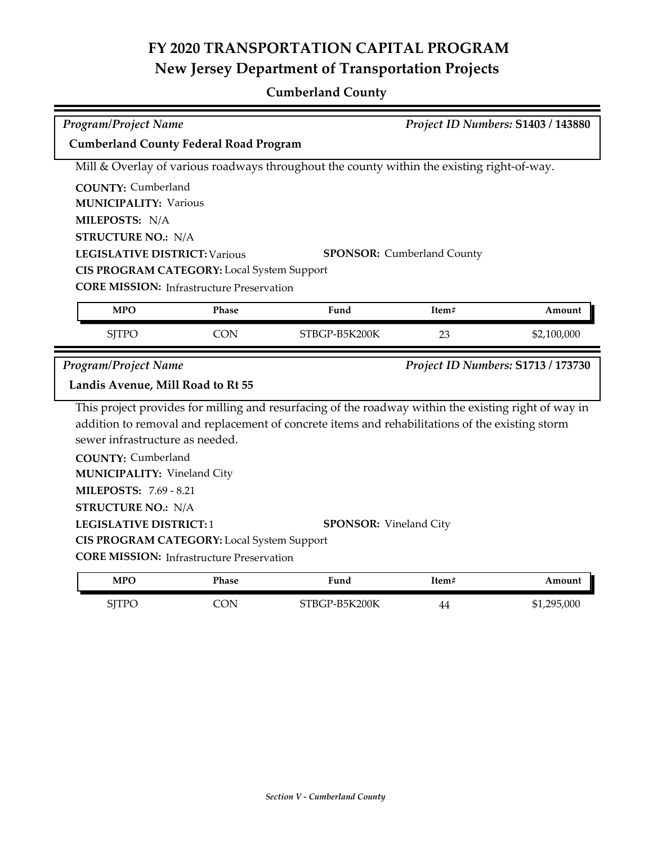## **FY 2020 TRANSPORTATION CAPITAL PROGRAM New Jersey Department of Transportation Projects**

## **Cumberland County**

| <b>Program/Project Name</b>                   |                                                  | Project ID Numbers: S1403 / 143880                                                                   |                                   |                                    |  |  |
|-----------------------------------------------|--------------------------------------------------|------------------------------------------------------------------------------------------------------|-----------------------------------|------------------------------------|--|--|
| <b>Cumberland County Federal Road Program</b> |                                                  |                                                                                                      |                                   |                                    |  |  |
|                                               |                                                  | Mill & Overlay of various roadways throughout the county within the existing right-of-way.           |                                   |                                    |  |  |
| <b>COUNTY: Cumberland</b>                     |                                                  |                                                                                                      |                                   |                                    |  |  |
| <b>MUNICIPALITY: Various</b>                  |                                                  |                                                                                                      |                                   |                                    |  |  |
| MILEPOSTS: N/A                                |                                                  |                                                                                                      |                                   |                                    |  |  |
| <b>STRUCTURE NO.: N/A</b>                     |                                                  |                                                                                                      |                                   |                                    |  |  |
| <b>LEGISLATIVE DISTRICT: Various</b>          |                                                  |                                                                                                      | <b>SPONSOR:</b> Cumberland County |                                    |  |  |
|                                               | CIS PROGRAM CATEGORY: Local System Support       |                                                                                                      |                                   |                                    |  |  |
|                                               | <b>CORE MISSION:</b> Infrastructure Preservation |                                                                                                      |                                   |                                    |  |  |
| <b>MPO</b>                                    | <b>Phase</b>                                     | Fund                                                                                                 | Item#                             | Amount                             |  |  |
| <b>SJTPO</b>                                  | <b>CON</b>                                       | STBGP-B5K200K                                                                                        | 23                                | \$2,100,000                        |  |  |
| <b>Program/Project Name</b>                   |                                                  |                                                                                                      |                                   | Project ID Numbers: S1713 / 173730 |  |  |
| Landis Avenue, Mill Road to Rt 55             |                                                  |                                                                                                      |                                   |                                    |  |  |
|                                               |                                                  | This project provides for milling and resurfacing of the roadway within the existing right of way in |                                   |                                    |  |  |
|                                               |                                                  | addition to removal and replacement of concrete items and rehabilitations of the existing storm      |                                   |                                    |  |  |
| sewer infrastructure as needed.               |                                                  |                                                                                                      |                                   |                                    |  |  |
| <b>COUNTY: Cumberland</b>                     |                                                  |                                                                                                      |                                   |                                    |  |  |
| <b>MUNICIPALITY: Vineland City</b>            |                                                  |                                                                                                      |                                   |                                    |  |  |
| <b>MILEPOSTS: 7.69 - 8.21</b>                 |                                                  |                                                                                                      |                                   |                                    |  |  |
| <b>STRUCTURE NO.: N/A</b>                     |                                                  |                                                                                                      |                                   |                                    |  |  |
| <b>LEGISLATIVE DISTRICT:1</b>                 |                                                  | <b>SPONSOR:</b> Vineland City                                                                        |                                   |                                    |  |  |
|                                               | CIS PROGRAM CATEGORY: Local System Support       |                                                                                                      |                                   |                                    |  |  |
|                                               | <b>CORE MISSION:</b> Infrastructure Preservation |                                                                                                      |                                   |                                    |  |  |
| <b>MPO</b>                                    | <b>Phase</b>                                     | Fund                                                                                                 | Item#                             | Amount                             |  |  |
| <b>SJTPO</b>                                  | <b>CON</b>                                       | STBGP-B5K200K                                                                                        | 44                                | \$1,295,000                        |  |  |
|                                               |                                                  |                                                                                                      |                                   |                                    |  |  |